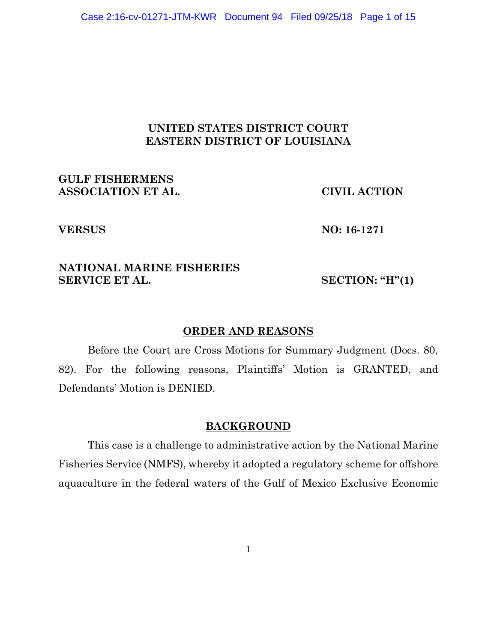# **UNITED STATES DISTRICT COURT EASTERN DISTRICT OF LOUISIANA**

**GULF FISHERMENS ASSOCIATION ET AL. CIVIL ACTION**

**VERSUS NO: 16-1271**

# **NATIONAL MARINE FISHERIES SERVICE ET AL.** SECTION: **"H"(1)**

#### **ORDER AND REASONS**

Before the Court are Cross Motions for Summary Judgment (Docs. 80, 82). For the following reasons, Plaintiffs' Motion is GRANTED, and Defendants' Motion is DENIED.

#### **BACKGROUND**

This case is a challenge to administrative action by the National Marine Fisheries Service (NMFS), whereby it adopted a regulatory scheme for offshore aquaculture in the federal waters of the Gulf of Mexico Exclusive Economic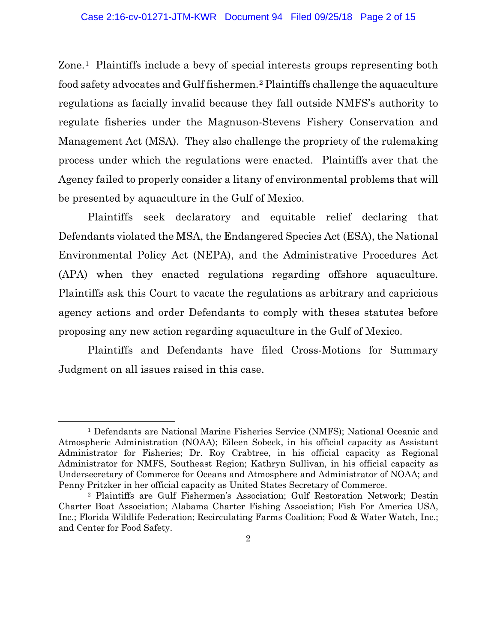Zone.1 Plaintiffs include a bevy of special interests groups representing both food safety advocates and Gulf fishermen.2 Plaintiffs challenge the aquaculture regulations as facially invalid because they fall outside NMFS's authority to regulate fisheries under the Magnuson-Stevens Fishery Conservation and Management Act (MSA). They also challenge the propriety of the rulemaking process under which the regulations were enacted. Plaintiffs aver that the Agency failed to properly consider a litany of environmental problems that will be presented by aquaculture in the Gulf of Mexico.

Plaintiffs seek declaratory and equitable relief declaring that Defendants violated the MSA, the Endangered Species Act (ESA), the National Environmental Policy Act (NEPA), and the Administrative Procedures Act (APA) when they enacted regulations regarding offshore aquaculture. Plaintiffs ask this Court to vacate the regulations as arbitrary and capricious agency actions and order Defendants to comply with theses statutes before proposing any new action regarding aquaculture in the Gulf of Mexico.

Plaintiffs and Defendants have filed Cross-Motions for Summary Judgment on all issues raised in this case.

<sup>1</sup> Defendants are National Marine Fisheries Service (NMFS); National Oceanic and Atmospheric Administration (NOAA); Eileen Sobeck, in his official capacity as Assistant Administrator for Fisheries; Dr. Roy Crabtree, in his official capacity as Regional Administrator for NMFS, Southeast Region; Kathryn Sullivan, in his official capacity as Undersecretary of Commerce for Oceans and Atmosphere and Administrator of NOAA; and Penny Pritzker in her official capacity as United States Secretary of Commerce.

<sup>2</sup> Plaintiffs are Gulf Fishermen's Association; Gulf Restoration Network; Destin Charter Boat Association; Alabama Charter Fishing Association; Fish For America USA, Inc.; Florida Wildlife Federation; Recirculating Farms Coalition; Food & Water Watch, Inc.; and Center for Food Safety.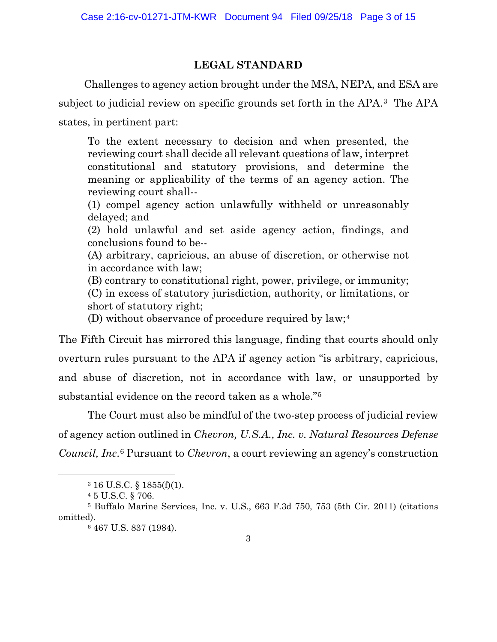# **LEGAL STANDARD**

Challenges to agency action brought under the MSA, NEPA, and ESA are subject to judicial review on specific grounds set forth in the APA.3 The APA states, in pertinent part:

To the extent necessary to decision and when presented, the reviewing court shall decide all relevant questions of law, interpret constitutional and statutory provisions, and determine the meaning or applicability of the terms of an agency action. The reviewing court shall--

(1) compel agency action unlawfully withheld or unreasonably delayed; and

(2) hold unlawful and set aside agency action, findings, and conclusions found to be--

(A) arbitrary, capricious, an abuse of discretion, or otherwise not in accordance with law;

(B) contrary to constitutional right, power, privilege, or immunity; (C) in excess of statutory jurisdiction, authority, or limitations, or short of statutory right;

(D) without observance of procedure required by law;4

The Fifth Circuit has mirrored this language, finding that courts should only overturn rules pursuant to the APA if agency action "is arbitrary, capricious, and abuse of discretion, not in accordance with law, or unsupported by substantial evidence on the record taken as a whole."5

The Court must also be mindful of the two-step process of judicial review of agency action outlined in *Chevron, U.S.A., Inc. v. Natural Resources Defense Council, Inc*.6 Pursuant to *Chevron*, a court reviewing an agency's construction

<sup>3</sup> 16 U.S.C. § 1855(f)(1).

<sup>4</sup> 5 U.S.C. § 706.

<sup>5</sup> Buffalo Marine Services, Inc. v. U.S., 663 F.3d 750, 753 (5th Cir. 2011) (citations omitted).

<sup>6</sup> 467 U.S. 837 (1984).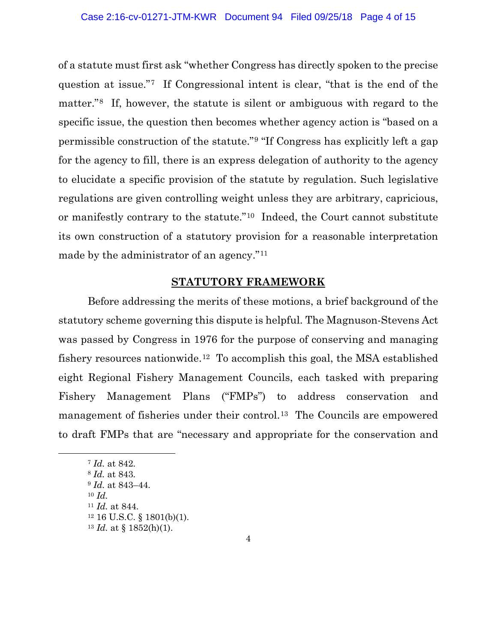of a statute must first ask "whether Congress has directly spoken to the precise question at issue."7 If Congressional intent is clear, "that is the end of the matter."8 If, however, the statute is silent or ambiguous with regard to the specific issue, the question then becomes whether agency action is "based on a permissible construction of the statute."9 "If Congress has explicitly left a gap for the agency to fill, there is an express delegation of authority to the agency to elucidate a specific provision of the statute by regulation. Such legislative regulations are given controlling weight unless they are arbitrary, capricious, or manifestly contrary to the statute."10 Indeed, the Court cannot substitute its own construction of a statutory provision for a reasonable interpretation made by the administrator of an agency."11

# **STATUTORY FRAMEWORK**

Before addressing the merits of these motions, a brief background of the statutory scheme governing this dispute is helpful. The Magnuson-Stevens Act was passed by Congress in 1976 for the purpose of conserving and managing fishery resources nationwide.<sup>12</sup> To accomplish this goal, the MSA established eight Regional Fishery Management Councils, each tasked with preparing Fishery Management Plans ("FMPs") to address conservation and management of fisheries under their control.13 The Councils are empowered to draft FMPs that are "necessary and appropriate for the conservation and

<sup>7</sup> *Id.* at 842. <sup>8</sup> *Id.* at 843. <sup>9</sup> *Id.* at 843–44. <sup>10</sup> *Id.* <sup>11</sup> *Id.* at 844.  $12$  16 U.S.C. § 1801(b)(1).

 $13$  *Id.* at § 1852(h)(1).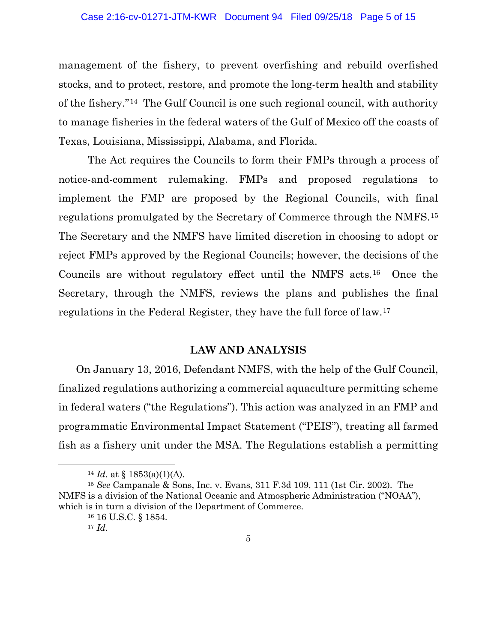management of the fishery, to prevent overfishing and rebuild overfished stocks, and to protect, restore, and promote the long-term health and stability of the fishery."14 The Gulf Council is one such regional council, with authority to manage fisheries in the federal waters of the Gulf of Mexico off the coasts of Texas, Louisiana, Mississippi, Alabama, and Florida.

The Act requires the Councils to form their FMPs through a process of notice-and-comment rulemaking. FMPs and proposed regulations to implement the FMP are proposed by the Regional Councils, with final regulations promulgated by the Secretary of Commerce through the NMFS.15 The Secretary and the NMFS have limited discretion in choosing to adopt or reject FMPs approved by the Regional Councils; however, the decisions of the Councils are without regulatory effect until the NMFS acts.16 Once the Secretary, through the NMFS, reviews the plans and publishes the final regulations in the Federal Register, they have the full force of law.17

### **LAW AND ANALYSIS**

On January 13, 2016, Defendant NMFS, with the help of the Gulf Council, finalized regulations authorizing a commercial aquaculture permitting scheme in federal waters ("the Regulations"). This action was analyzed in an FMP and programmatic Environmental Impact Statement ("PEIS"), treating all farmed fish as a fishery unit under the MSA. The Regulations establish a permitting

<sup>&</sup>lt;sup>14</sup> *Id.* at  $\{1853(a)(1)(A)$ .

<sup>15</sup> *See* Campanale & Sons, Inc. v. Evans*,* 311 F.3d 109, 111 (1st Cir. 2002). The NMFS is a division of the National Oceanic and Atmospheric Administration ("NOAA"), which is in turn a division of the Department of Commerce.

<sup>16</sup> 16 U.S.C. § 1854.

 $17 \; Id.$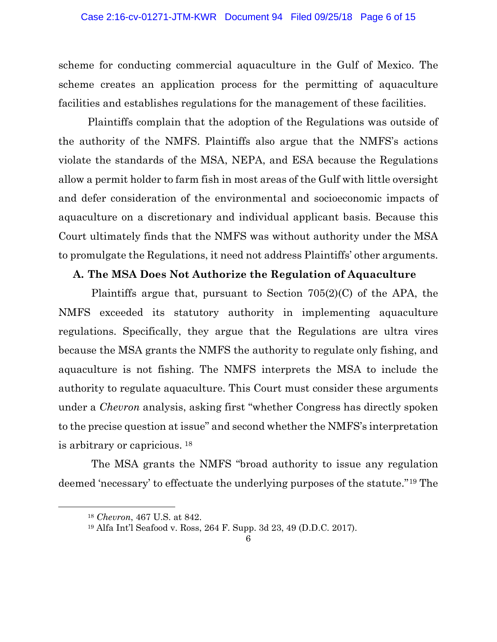scheme for conducting commercial aquaculture in the Gulf of Mexico. The scheme creates an application process for the permitting of aquaculture facilities and establishes regulations for the management of these facilities.

Plaintiffs complain that the adoption of the Regulations was outside of the authority of the NMFS. Plaintiffs also argue that the NMFS's actions violate the standards of the MSA, NEPA, and ESA because the Regulations allow a permit holder to farm fish in most areas of the Gulf with little oversight and defer consideration of the environmental and socioeconomic impacts of aquaculture on a discretionary and individual applicant basis. Because this Court ultimately finds that the NMFS was without authority under the MSA to promulgate the Regulations, it need not address Plaintiffs' other arguments.

### **A. The MSA Does Not Authorize the Regulation of Aquaculture**

Plaintiffs argue that, pursuant to Section 705(2)(C) of the APA, the NMFS exceeded its statutory authority in implementing aquaculture regulations. Specifically, they argue that the Regulations are ultra vires because the MSA grants the NMFS the authority to regulate only fishing, and aquaculture is not fishing. The NMFS interprets the MSA to include the authority to regulate aquaculture. This Court must consider these arguments under a *Chevron* analysis, asking first "whether Congress has directly spoken to the precise question at issue" and second whether the NMFS's interpretation is arbitrary or capricious. <sup>18</sup>

The MSA grants the NMFS "broad authority to issue any regulation deemed 'necessary' to effectuate the underlying purposes of the statute."19 The

<sup>18</sup> *Chevron*, 467 U.S. at 842.

<sup>19</sup> Alfa Int'l Seafood v. Ross, 264 F. Supp. 3d 23, 49 (D.D.C. 2017).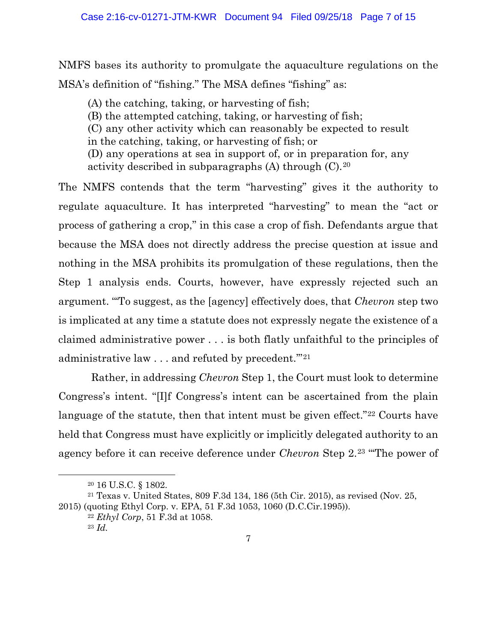NMFS bases its authority to promulgate the aquaculture regulations on the MSA's definition of "fishing." The MSA defines "fishing" as:

(A) the catching, taking, or harvesting of fish; (B) the attempted catching, taking, or harvesting of fish; (C) any other activity which can reasonably be expected to result in the catching, taking, or harvesting of fish; or (D) any operations at sea in support of, or in preparation for, any activity described in subparagraphs  $(A)$  through  $(C)$ .<sup>20</sup>

The NMFS contends that the term "harvesting" gives it the authority to regulate aquaculture. It has interpreted "harvesting" to mean the "act or process of gathering a crop," in this case a crop of fish. Defendants argue that because the MSA does not directly address the precise question at issue and nothing in the MSA prohibits its promulgation of these regulations, then the Step 1 analysis ends. Courts, however, have expressly rejected such an argument. "'To suggest, as the [agency] effectively does, that *Chevron* step two is implicated at any time a statute does not expressly negate the existence of a claimed administrative power . . . is both flatly unfaithful to the principles of administrative law . . . and refuted by precedent."<sup>21</sup>

Rather, in addressing *Chevron* Step 1, the Court must look to determine Congress's intent. "[I]f Congress's intent can be ascertained from the plain language of the statute, then that intent must be given effect."<sup>22</sup> Courts have held that Congress must have explicitly or implicitly delegated authority to an agency before it can receive deference under *Chevron* Step 2.23 "'The power of

<sup>20</sup> 16 U.S.C. § 1802.

<sup>21</sup> Texas v. United States, 809 F.3d 134, 186 (5th Cir. 2015), as revised (Nov. 25, 2015) (quoting Ethyl Corp. v. EPA, 51 F.3d 1053, 1060 (D.C.Cir.1995)).

<sup>22</sup> *Ethyl Corp*, 51 F.3d at 1058. <sup>23</sup> *Id.*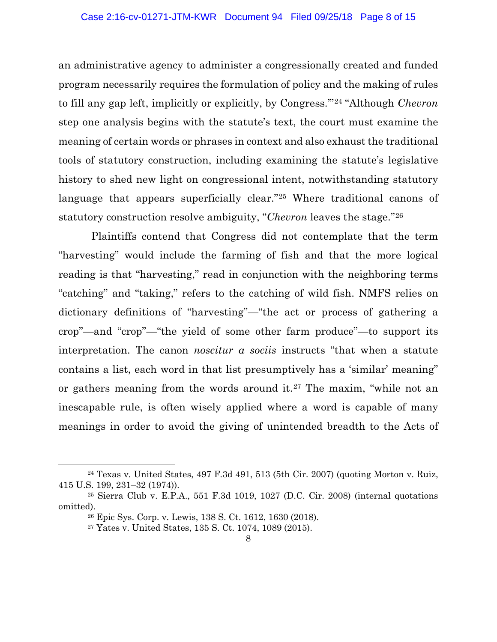an administrative agency to administer a congressionally created and funded program necessarily requires the formulation of policy and the making of rules to fill any gap left, implicitly or explicitly, by Congress.'"24 "Although *Chevron* step one analysis begins with the statute's text, the court must examine the meaning of certain words or phrases in context and also exhaust the traditional tools of statutory construction, including examining the statute's legislative history to shed new light on congressional intent, notwithstanding statutory language that appears superficially clear.<sup>"25</sup> Where traditional canons of statutory construction resolve ambiguity, "*Chevron* leaves the stage."26

Plaintiffs contend that Congress did not contemplate that the term "harvesting" would include the farming of fish and that the more logical reading is that "harvesting," read in conjunction with the neighboring terms "catching" and "taking," refers to the catching of wild fish. NMFS relies on dictionary definitions of "harvesting"—"the act or process of gathering a crop"—and "crop"—"the yield of some other farm produce"—to support its interpretation. The canon *noscitur a sociis* instructs "that when a statute contains a list, each word in that list presumptively has a 'similar' meaning" or gathers meaning from the words around it.27 The maxim, "while not an inescapable rule, is often wisely applied where a word is capable of many meanings in order to avoid the giving of unintended breadth to the Acts of

 $24$  Texas v. United States, 497 F.3d 491, 513 (5th Cir. 2007) (quoting Morton v. Ruiz, 415 U.S. 199, 231–32 (1974)).

<sup>25</sup> Sierra Club v. E.P.A., 551 F.3d 1019, 1027 (D.C. Cir. 2008) (internal quotations omitted).

<sup>26</sup> Epic Sys. Corp. v. Lewis, 138 S. Ct. 1612, 1630 (2018).

<sup>27</sup> Yates v. United States, 135 S. Ct. 1074, 1089 (2015).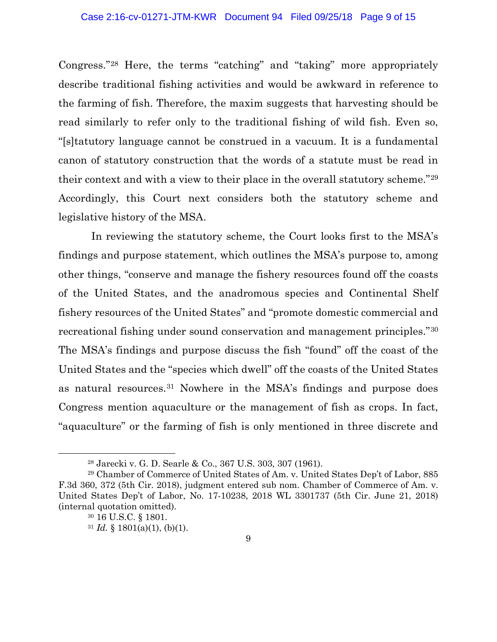#### Case 2:16-cv-01271-JTM-KWR Document 94 Filed 09/25/18 Page 9 of 15

Congress."28 Here, the terms "catching" and "taking" more appropriately describe traditional fishing activities and would be awkward in reference to the farming of fish. Therefore, the maxim suggests that harvesting should be read similarly to refer only to the traditional fishing of wild fish. Even so, "[s]tatutory language cannot be construed in a vacuum. It is a fundamental canon of statutory construction that the words of a statute must be read in their context and with a view to their place in the overall statutory scheme."29 Accordingly, this Court next considers both the statutory scheme and legislative history of the MSA.

In reviewing the statutory scheme, the Court looks first to the MSA's findings and purpose statement, which outlines the MSA's purpose to, among other things, "conserve and manage the fishery resources found off the coasts of the United States, and the anadromous species and Continental Shelf fishery resources of the United States" and "promote domestic commercial and recreational fishing under sound conservation and management principles."30 The MSA's findings and purpose discuss the fish "found" off the coast of the United States and the "species which dwell" off the coasts of the United States as natural resources.31 Nowhere in the MSA's findings and purpose does Congress mention aquaculture or the management of fish as crops. In fact, "aquaculture" or the farming of fish is only mentioned in three discrete and

<sup>28</sup> Jarecki v. G. D. Searle & Co., 367 U.S. 303, 307 (1961).

<sup>29</sup> Chamber of Commerce of United States of Am. v. United States Dep't of Labor, 885 F.3d 360, 372 (5th Cir. 2018), judgment entered sub nom. Chamber of Commerce of Am. v. United States Dep't of Labor, No. 17-10238, 2018 WL 3301737 (5th Cir. June 21, 2018) (internal quotation omitted).

<sup>30</sup> 16 U.S.C. § 1801.

 $31$  *Id.* § 1801(a)(1), (b)(1).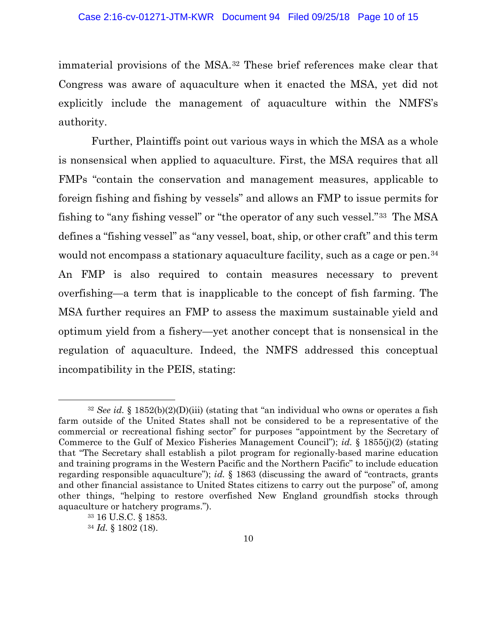immaterial provisions of the MSA.32 These brief references make clear that Congress was aware of aquaculture when it enacted the MSA, yet did not explicitly include the management of aquaculture within the NMFS's authority.

Further, Plaintiffs point out various ways in which the MSA as a whole is nonsensical when applied to aquaculture. First, the MSA requires that all FMPs "contain the conservation and management measures, applicable to foreign fishing and fishing by vessels" and allows an FMP to issue permits for fishing to "any fishing vessel" or "the operator of any such vessel."33 The MSA defines a "fishing vessel" as "any vessel, boat, ship, or other craft" and this term would not encompass a stationary aquaculture facility, such as a cage or pen.<sup>34</sup> An FMP is also required to contain measures necessary to prevent overfishing—a term that is inapplicable to the concept of fish farming. The MSA further requires an FMP to assess the maximum sustainable yield and optimum yield from a fishery—yet another concept that is nonsensical in the regulation of aquaculture. Indeed, the NMFS addressed this conceptual incompatibility in the PEIS, stating:

<sup>32</sup> *See id.* § 1852(b)(2)(D)(iii) (stating that "an individual who owns or operates a fish farm outside of the United States shall not be considered to be a representative of the commercial or recreational fishing sector" for purposes "appointment by the Secretary of Commerce to the Gulf of Mexico Fisheries Management Council"); *id.* § 1855(j)(2) (stating that "The Secretary shall establish a pilot program for regionally-based marine education and training programs in the Western Pacific and the Northern Pacific" to include education regarding responsible aquaculture"); *id.* § 1863 (discussing the award of "contracts, grants and other financial assistance to United States citizens to carry out the purpose" of, among other things, "helping to restore overfished New England groundfish stocks through aquaculture or hatchery programs.").

<sup>33</sup> 16 U.S.C. § 1853.

<sup>34</sup> *Id.* § 1802 (18).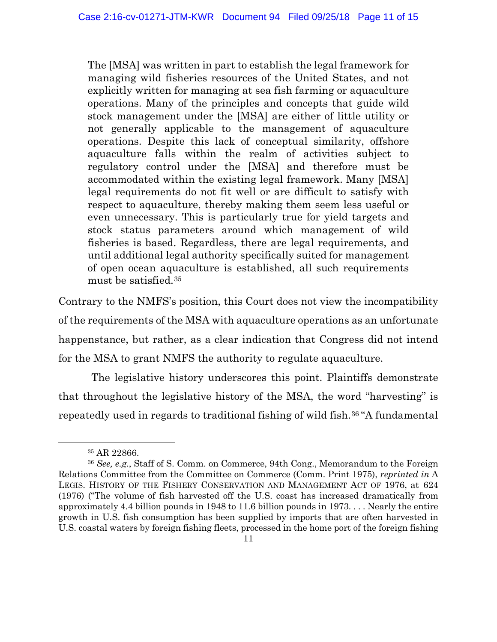The [MSA] was written in part to establish the legal framework for managing wild fisheries resources of the United States, and not explicitly written for managing at sea fish farming or aquaculture operations. Many of the principles and concepts that guide wild stock management under the [MSA] are either of little utility or not generally applicable to the management of aquaculture operations. Despite this lack of conceptual similarity, offshore aquaculture falls within the realm of activities subject to regulatory control under the [MSA] and therefore must be accommodated within the existing legal framework. Many [MSA] legal requirements do not fit well or are difficult to satisfy with respect to aquaculture, thereby making them seem less useful or even unnecessary. This is particularly true for yield targets and stock status parameters around which management of wild fisheries is based. Regardless, there are legal requirements, and until additional legal authority specifically suited for management of open ocean aquaculture is established, all such requirements must be satisfied.35

Contrary to the NMFS's position, this Court does not view the incompatibility of the requirements of the MSA with aquaculture operations as an unfortunate happenstance, but rather, as a clear indication that Congress did not intend for the MSA to grant NMFS the authority to regulate aquaculture.

The legislative history underscores this point. Plaintiffs demonstrate that throughout the legislative history of the MSA, the word "harvesting" is repeatedly used in regards to traditional fishing of wild fish.36 "A fundamental

<sup>35</sup> AR 22866.

<sup>36</sup> *See, e.g*., Staff of S. Comm. on Commerce, 94th Cong., Memorandum to the Foreign Relations Committee from the Committee on Commerce (Comm. Print 1975), *reprinted in* A LEGIS. HISTORY OF THE FISHERY CONSERVATION AND MANAGEMENT ACT OF 1976, at 624 (1976) ("The volume of fish harvested off the U.S. coast has increased dramatically from approximately 4.4 billion pounds in 1948 to 11.6 billion pounds in 1973. . . . Nearly the entire growth in U.S. fish consumption has been supplied by imports that are often harvested in U.S. coastal waters by foreign fishing fleets, processed in the home port of the foreign fishing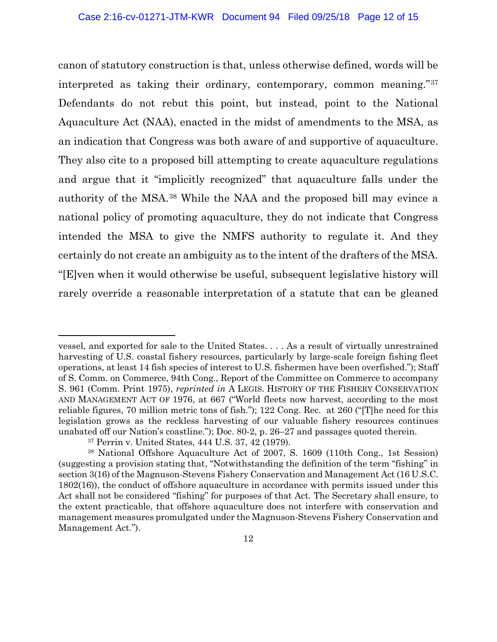canon of statutory construction is that, unless otherwise defined, words will be interpreted as taking their ordinary, contemporary, common meaning."37 Defendants do not rebut this point, but instead, point to the National Aquaculture Act (NAA), enacted in the midst of amendments to the MSA, as an indication that Congress was both aware of and supportive of aquaculture. They also cite to a proposed bill attempting to create aquaculture regulations and argue that it "implicitly recognized" that aquaculture falls under the authority of the MSA.38 While the NAA and the proposed bill may evince a national policy of promoting aquaculture, they do not indicate that Congress intended the MSA to give the NMFS authority to regulate it. And they certainly do not create an ambiguity as to the intent of the drafters of the MSA. "[E]ven when it would otherwise be useful, subsequent legislative history will rarely override a reasonable interpretation of a statute that can be gleaned

vessel, and exported for sale to the United States. . . . As a result of virtually unrestrained harvesting of U.S. coastal fishery resources, particularly by large-scale foreign fishing fleet operations, at least 14 fish species of interest to U.S. fishermen have been overfished."); Staff of S. Comm. on Commerce, 94th Cong., Report of the Committee on Commerce to accompany S. 961 (Comm. Print 1975), *reprinted in* A LEGIS. HISTORY OF THE FISHERY CONSERVATION AND MANAGEMENT ACT OF 1976, at 667 ("World fleets now harvest, according to the most reliable figures, 70 million metric tons of fish."); 122 Cong. Rec. at 260 ("[T]he need for this legislation grows as the reckless harvesting of our valuable fishery resources continues unabated off our Nation's coastline."); Doc. 80-2, p. 26–27 and passages quoted therein.

<sup>37</sup> Perrin v. United States, 444 U.S. 37, 42 (1979).

<sup>38</sup> National Offshore Aquaculture Act of 2007, S. 1609 (110th Cong., 1st Session) (suggesting a provision stating that, "Notwithstanding the definition of the term ''fishing'' in section 3(16) of the Magnuson-Stevens Fishery Conservation and Management Act (16 U.S.C. 1802(16)), the conduct of offshore aquaculture in accordance with permits issued under this Act shall not be considered "fishing" for purposes of that Act. The Secretary shall ensure, to the extent practicable, that offshore aquaculture does not interfere with conservation and management measures promulgated under the Magnuson-Stevens Fishery Conservation and Management Act.").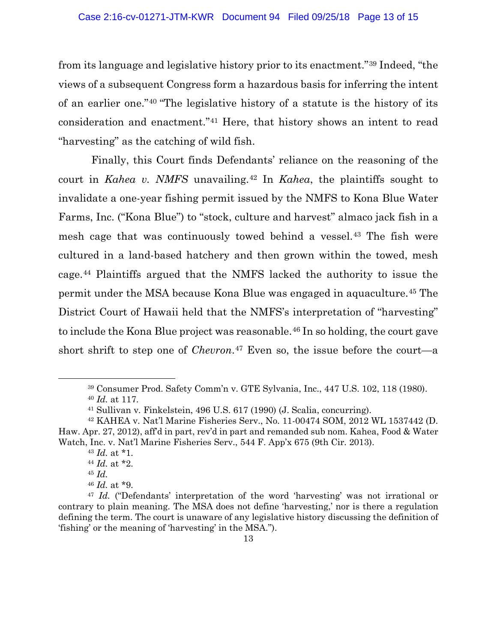from its language and legislative history prior to its enactment."39 Indeed, "the views of a subsequent Congress form a hazardous basis for inferring the intent of an earlier one."40 "The legislative history of a statute is the history of its consideration and enactment."41 Here, that history shows an intent to read "harvesting" as the catching of wild fish.

Finally, this Court finds Defendants' reliance on the reasoning of the court in *Kahea v. NMFS* unavailing.<sup>42</sup> In *Kahea*, the plaintiffs sought to invalidate a one-year fishing permit issued by the NMFS to Kona Blue Water Farms, Inc. ("Kona Blue") to "stock, culture and harvest" almaco jack fish in a mesh cage that was continuously towed behind a vessel.43 The fish were cultured in a land-based hatchery and then grown within the towed, mesh cage.44 Plaintiffs argued that the NMFS lacked the authority to issue the permit under the MSA because Kona Blue was engaged in aquaculture.45 The District Court of Hawaii held that the NMFS's interpretation of "harvesting" to include the Kona Blue project was reasonable.<sup>46</sup> In so holding, the court gave short shrift to step one of *Chevron*.47 Even so, the issue before the court—a

<sup>39</sup> Consumer Prod. Safety Comm'n v. GTE Sylvania, Inc., 447 U.S. 102, 118 (1980).

<sup>40</sup> *Id.* at 117.

<sup>41</sup> Sullivan v. Finkelstein, 496 U.S. 617 (1990) (J. Scalia, concurring).

<sup>42</sup> KAHEA v. Nat'l Marine Fisheries Serv., No. 11-00474 SOM, 2012 WL 1537442 (D. Haw. Apr. 27, 2012), aff'd in part, rev'd in part and remanded sub nom. Kahea, Food & Water Watch, Inc. v. Nat'l Marine Fisheries Serv., 544 F. App'x 675 (9th Cir. 2013).

<sup>43</sup> *Id.* at \*1.

<sup>44</sup> *Id.* at \*2.

<sup>45</sup> *Id.*

<sup>46</sup> *Id.* at \*9.

<sup>47</sup> *Id.* ("Defendants' interpretation of the word 'harvesting' was not irrational or contrary to plain meaning. The MSA does not define 'harvesting,' nor is there a regulation defining the term. The court is unaware of any legislative history discussing the definition of 'fishing' or the meaning of 'harvesting' in the MSA.").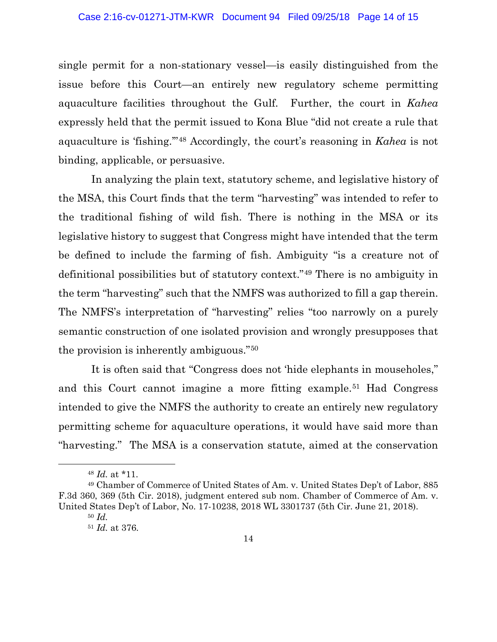single permit for a non-stationary vessel—is easily distinguished from the issue before this Court—an entirely new regulatory scheme permitting aquaculture facilities throughout the Gulf. Further, the court in *Kahea* expressly held that the permit issued to Kona Blue "did not create a rule that aquaculture is 'fishing.'"48 Accordingly, the court's reasoning in *Kahea* is not binding, applicable, or persuasive.

In analyzing the plain text, statutory scheme, and legislative history of the MSA, this Court finds that the term "harvesting" was intended to refer to the traditional fishing of wild fish. There is nothing in the MSA or its legislative history to suggest that Congress might have intended that the term be defined to include the farming of fish. Ambiguity "is a creature not of definitional possibilities but of statutory context."49 There is no ambiguity in the term "harvesting" such that the NMFS was authorized to fill a gap therein. The NMFS's interpretation of "harvesting" relies "too narrowly on a purely semantic construction of one isolated provision and wrongly presupposes that the provision is inherently ambiguous."50

It is often said that "Congress does not 'hide elephants in mouseholes," and this Court cannot imagine a more fitting example.51 Had Congress intended to give the NMFS the authority to create an entirely new regulatory permitting scheme for aquaculture operations, it would have said more than "harvesting." The MSA is a conservation statute, aimed at the conservation

<sup>48</sup> *Id.* at \*11.

<sup>49</sup> Chamber of Commerce of United States of Am. v. United States Dep't of Labor, 885 F.3d 360, 369 (5th Cir. 2018), judgment entered sub nom. Chamber of Commerce of Am. v. United States Dep't of Labor, No. 17-10238, 2018 WL 3301737 (5th Cir. June 21, 2018). <sup>50</sup> *Id.*

<sup>51</sup> *Id.* at 376.